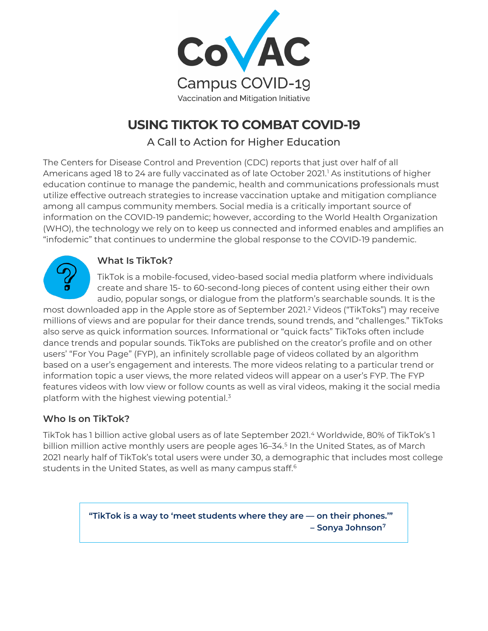

# **USING TIKTOK TO COMBAT COVID-19**

A Call to Action for Higher Education

The Centers for Disease Control and Prevention (CDC) reports that just over half of all Americans aged 18 to 24 are fully vaccinated as of late October 2021. [1](#page-7-0) As institutions of higher education continue to manage the pandemic, health and communications professionals must utilize effective outreach strategies to increase vaccination uptake and mitigation compliance among all campus community members. Social media is a critically important source of information on the COVID-19 pandemic; however, according to the World Health Organization (WHO), the technology we rely on to keep us connected and informed enables and amplifies an "infodemic" that continues to undermine the global response to the COVID-19 pandemic.



### **What Is TikTok?**

TikTok is a mobile-focused, video-based social media platform where individuals create and share 15- to 60-second-long pieces of content using either their own audio, popular songs, or dialogue from the platform's searchable sounds. It is the

most downloaded app in the Apple store as of September 2021.[2](#page-7-1) Videos ("TikToks") may receive millions of views and are popular for their dance trends, sound trends, and "challenges." TikToks also serve as quick information sources. Informational or "quick facts" TikToks often include dance trends and popular sounds. TikToks are published on the creator's profile and on other users' "For You Page" (FYP), an infinitely scrollable page of videos collated by an algorithm based on a user's engagement and interests. The more videos relating to a particular trend or information topic a user views, the more related videos will appear on a user's FYP. The FYP features videos with low view or follow counts as well as viral videos, making it the social media platform with the highest viewing potential.[3](#page-7-2) 

# **Who Is on TikTok?**

TikTok has 1 billion active global users as of late September 2021.[4](#page-7-3) Worldwide, 80% of TikTok's 1 billion million active monthly users are people ages 16-34.<sup>[5](#page-7-4)</sup> In the United States, as of March 2021 nearly half of TikTok's total users were under 30, a demographic that includes most college students in the United States, as well as many campus staff.<sup>[6](#page-7-5)</sup>

> **"TikTok is a way to 'meet students where they are — on their phones.'" – Sonya Johnson[7](#page-7-6)**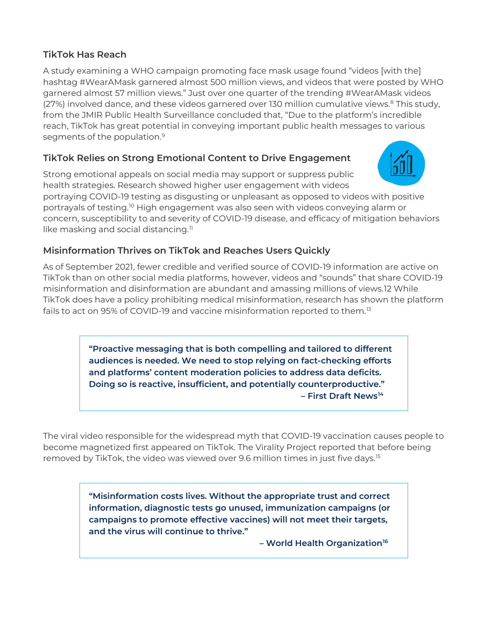### **TikTok Has Reach**

A study examining a WHO campaign promoting face mask usage found "videos [with the] hashtag #WearAMask garnered almost 500 million views, and videos that were posted by WHO garnered almost 57 million views." Just over one quarter of the trending #WearAMask videos (27%) involved dance, and these videos garnered over 130 million cumulative views.<sup>[8](#page-7-7)</sup> This study, from the JMIR Public Health Surveillance concluded that, "Due to the platform's incredible reach, TikTok has great potential in conveying important public health messages to various segments of the population.<sup>[9](#page-7-8)</sup>

# **TikTok Relies on Strong Emotional Content to Drive Engagement**

Strong emotional appeals on social media may support or suppress public health strategies. Research showed higher user engagement with videos

portraying COVID-19 testing as disgusting or unpleasant as opposed to videos with positive portrayals of testing.[10](#page-7-9) High engagement was also seen with videos conveying alarm or concern, susceptibility to and severity of COVID-19 disease, and efficacy of mitigation behaviors like masking and social distancing.<sup>[11](#page-7-10)</sup>

# **Misinformation Thrives on TikTok and Reaches Users Quickly**

As of September 2021, fewer credible and verified source of COVID-19 information are active on TikTok than on other social media platforms, however, videos and "sounds" that share COVID-19 misinformation and disinformation are abundant and amassing millions of views.[12](#page-7-11) While TikTok does have a policy prohibiting medical misinformation, research has shown the platform fails to act on 95% of COVID-19 and vaccine misinformation reported to them.<sup>[13](#page-7-12)</sup>

> **"Proactive messaging that is both compelling and tailored to different audiences is needed. We need to stop relying on fact-checking efforts and platforms' content moderation policies to address data deficits. Doing so is reactive, insufficient, and potentially counterproductive." – First Draft New[s14](#page-7-13)**

The viral video responsible for the widespread myth that COVID-19 vaccination causes people to become magnetized first appeared on TikTok. The Virality Project reported that before being removed by TikTok, the video was viewed over 9.6 million times in just five days.[15](#page-7-14)

> **"Misinformation costs lives. Without the appropriate trust and correct information, diagnostic tests go unused, immunization campaigns (or campaigns to promote effective vaccines) will not meet their targets, and the virus will continue to thrive."**

> > **– World Health Organization[16](#page-8-0)**

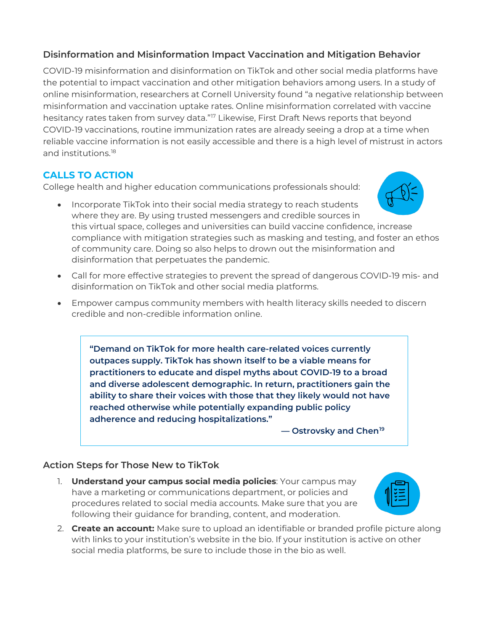### **Disinformation and Misinformation Impact Vaccination and Mitigation Behavior**

COVID-19 misinformation and disinformation on TikTok and other social media platforms have the potential to impact vaccination and other mitigation behaviors among users. In a study of online misinformation, researchers at Cornell University found "a negative relationship between misinformation and vaccination uptake rates. Online misinformation correlated with vaccine hesitancy rates taken from survey data."<sup>[17](#page-8-1)</sup> Likewise, First Draft News reports that beyond COVID-19 vaccinations, routine immunization rates are already seeing a drop at a time when reliable vaccine information is not easily accessible and there is a high level of mistrust in actors and institutions.[18](#page-8-2)

# **CALLS TO ACTION**

College health and higher education communications professionals should:



- Incorporate TikTok into their social media strategy to reach students where they are. By using trusted messengers and credible sources in this virtual space, colleges and universities can build vaccine confidence, increase compliance with mitigation strategies such as masking and testing, and foster an ethos of community care. Doing so also helps to drown out the misinformation and disinformation that perpetuates the pandemic.
- Call for more effective strategies to prevent the spread of dangerous COVID-19 mis- and disinformation on TikTok and other social media platforms.
- Empower campus community members with health literacy skills needed to discern credible and non-credible information online.

**"Demand on TikTok for more health care-related voices currently outpaces supply. TikTok has shown itself to be a viable means for practitioners to educate and dispel myths about COVID-19 to a broad and diverse adolescent demographic. In return, practitioners gain the ability to share their voices with those that they likely would not have reached otherwise while potentially expanding public policy adherence and reducing hospitalizations."**

 **— Ostrovsky and Chen[19](#page-8-3)**

# **Action Steps for Those New to TikTok**

- 1. **Understand your campus social media policies**: Your campus may have a marketing or communications department, or policies and procedures related to social media accounts. Make sure that you are following their guidance for branding, content, and moderation.
- 2. **Create an account:** Make sure to upload an identifiable or branded profile picture along with links to your institution's website in the bio. If your institution is active on other social media platforms, be sure to include those in the bio as well.

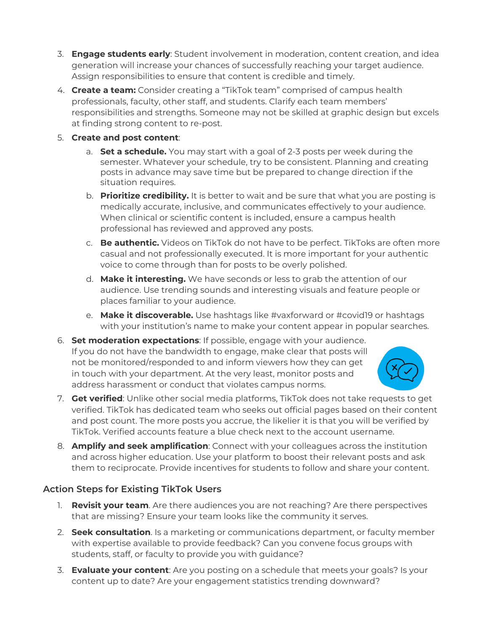- 3. **Engage students early**: Student involvement in moderation, content creation, and idea generation will increase your chances of successfully reaching your target audience. Assign responsibilities to ensure that content is credible and timely.
- 4. **Create a team:** Consider creating a "TikTok team" comprised of campus health professionals, faculty, other staff, and students. Clarify each team members' responsibilities and strengths. Someone may not be skilled at graphic design but excels at finding strong content to re-post.
- 5. **Create and post content**:
	- a. **Set a schedule.** You may start with a goal of 2-3 posts per week during the semester. Whatever your schedule, try to be consistent. Planning and creating posts in advance may save time but be prepared to change direction if the situation requires.
	- b. **Prioritize credibility.** It is better to wait and be sure that what you are posting is medically accurate, inclusive, and communicates effectively to your audience. When clinical or scientific content is included, ensure a campus health professional has reviewed and approved any posts.
	- c. **Be authentic.** Videos on TikTok do not have to be perfect. TikToks are often more casual and not professionally executed. It is more important for your authentic voice to come through than for posts to be overly polished.
	- d. **Make it interesting.** We have seconds or less to grab the attention of our audience. Use trending sounds and interesting visuals and feature people or places familiar to your audience.
	- e. **Make it discoverable.** Use hashtags like #vaxforward or #covid19 or hashtags with your institution's name to make your content appear in popular searches.
- 6. **Set moderation expectations**: If possible, engage with your audience. If you do not have the bandwidth to engage, make clear that posts will not be monitored/responded to and inform viewers how they can get in touch with your department. At the very least, monitor posts and address harassment or conduct that violates campus norms.



- 7. **Get verified**: Unlike other social media platforms, TikTok does not take requests to get verified. TikTok has dedicated team who seeks out official pages based on their content and post count. The more posts you accrue, the likelier it is that you will be verified by TikTok. Verified accounts feature a blue check next to the account username.
- 8. **Amplify and seek amplification**: Connect with your colleagues across the institution and across higher education. Use your platform to boost their relevant posts and ask them to reciprocate. Provide incentives for students to follow and share your content.

### **Action Steps for Existing TikTok Users**

- 1. **Revisit your team**. Are there audiences you are not reaching? Are there perspectives that are missing? Ensure your team looks like the community it serves.
- 2. **Seek consultation**. Is a marketing or communications department, or faculty member with expertise available to provide feedback? Can you convene focus groups with students, staff, or faculty to provide you with guidance?
- 3. **Evaluate your content**: Are you posting on a schedule that meets your goals? Is your content up to date? Are your engagement statistics trending downward?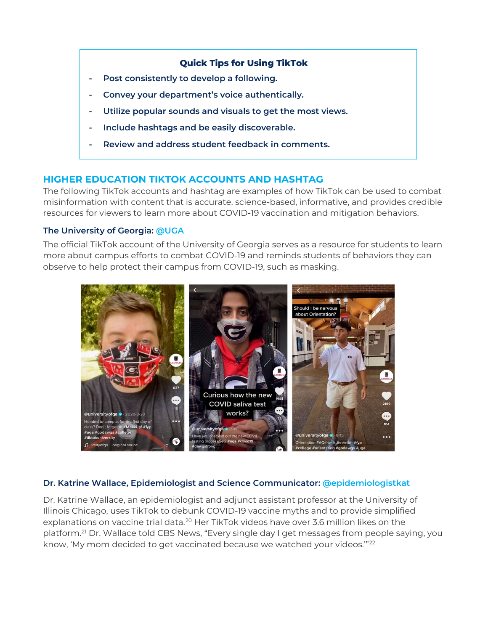#### **Quick Tips for Using TikTok**

- **- Post consistently to develop a following.**
- **- Convey your department's voice authentically.**
- **- Utilize popular sounds and visuals to get the most views.**
- **- Include hashtags and be easily discoverable.**
- **- Review and address student feedback in comments.**

### **HIGHER EDUCATION TIKTOK ACCOUNTS AND HASHTAG**

The following TikTok accounts and hashtag are examples of how TikTok can be used to combat misinformation with content that is accurate, science-based, informative, and provides credible resources for viewers to learn more about COVID-19 vaccination and mitigation behaviors.

#### **The University of Georgia: [@UGA](https://www.tiktok.com/@universityofga?)**

The official TikTok account of the University of Georgia serves as a resource for students to learn more about campus efforts to combat COVID-19 and reminds students of behaviors they can observe to help protect their campus from COVID-19, such as masking.



#### **Dr. Katrine Wallace, Epidemiologist and Science Communicator: [@epidemiologistkat](https://www.tiktok.com/@epidemiologistkat?)**

Dr. Katrine Wallace, an epidemiologist and adjunct assistant professor at the University of Illinois Chicago, uses TikTok to debunk COVID-19 vaccine myths and to provide simplified explanations on vaccine trial data.<sup>[20](#page-8-4)</sup> Her TikTok videos have over 3.6 million likes on the platform.[21](#page-8-5) Dr. Wallace told CBS News, "Every single day I get messages from people saying, you know, 'My mom decided to get vaccinated because we watched your videos."<sup>[22](#page-8-6)</sup>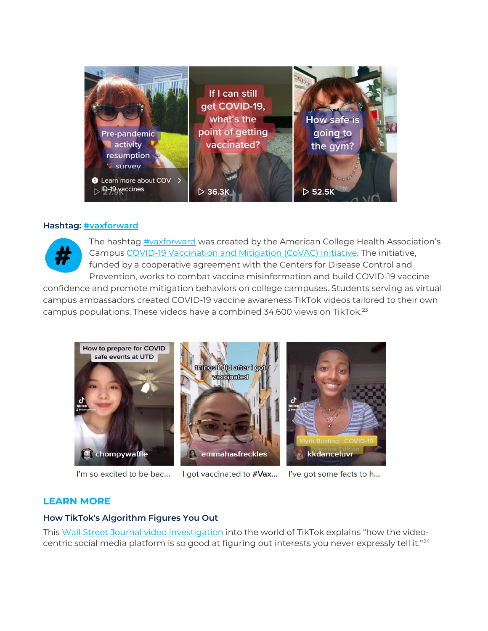

#### **Hashtag: [#vaxforward](https://www.tiktok.com/tag/vaxforward)**



The hashtag [#vaxforward](https://www.tiktok.com/tag/vaxforward) was created by the American College Health Association's [Campus COVID-19 Vaccination and Mitigation \(CoVAC\) Initiative.](https://www.acha.org/covac) The initiative, funded by a cooperative agreement with the Centers for Disease Control and Prevention, works to combat vaccine misinformation and build COVID-19 vaccine

confidence and promote mitigation behaviors on college campuses. Students serving as virtual campus ambassadors created COVID-19 vaccine awareness TikTok videos tailored to their own campus populations. These videos have a combined 34,600 views on TikTok.[23](#page-8-7)



I'm so excited to be bac...

I got vaccinated to #Vax...

I've got some facts to h...

### **LEARN MORE**

#### **How TikTok's Algorithm Figures You Out**

This [Wall Street Journal video investigation](https://www.youtube.com/watch?v=nfczi2cI6Cs&ab_channel=WallStreetJournal) into the world of TikTok explains "how the videocentric social media platform is so good at figuring out interests you never expressly tell it.["24](#page-8-8)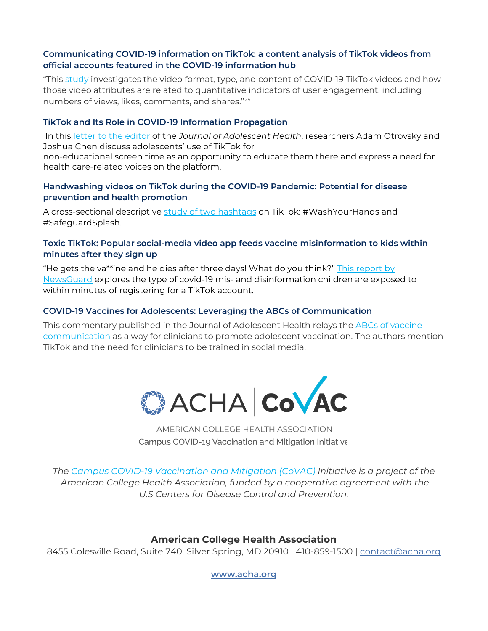#### **Communicating COVID-19 information on TikTok: a content analysis of TikTok videos from official accounts featured in the COVID-19 information hub**

"This [study](https://www.ncbi.nlm.nih.gov/pmc/articles/PMC7989330/) investigates the video format, type, and content of COVID-19 TikTok videos and how those video attributes are related to quantitative indicators of user engagement, including numbers of views, likes, comments, and shares."[25](#page-8-9)

#### **TikTok and Its Role in COVID-19 Information Propagation**

In this [letter to the editor](https://www.ncbi.nlm.nih.gov/pmc/articles/PMC7455791/) of the *Journal of Adolescent Health*, researchers Adam Otrovsky and Joshua Chen discuss adolescents' use of TikTok for non-educational screen time as an opportunity to educate them there and express a need for health care-related voices on the platform.

#### **Handwashing videos on TikTok during the COVID-19 Pandemic: Potential for disease prevention and health promotion**

A cross-sectional descriptive [study of two hashtags](https://www.ncbi.nlm.nih.gov/pmc/articles/PMC8495082/) on TikTok: #WashYourHands and #SafeguardSplash.

#### **Toxic TikTok: Popular social-media video app feeds vaccine misinformation to kids within minutes after they sign up**

"He gets the va\*\*ine and he dies after three days! What do you think?" [This report by](https://www.newsguardtech.com/special-reports/toxic-tiktok/)  [NewsGuard](https://www.newsguardtech.com/special-reports/toxic-tiktok/) explores the type of covid-19 mis- and disinformation children are exposed to within minutes of registering for a TikTok account.

#### **COVID-19 Vaccines for Adolescents: Leveraging the ABCs of Communication**

This commentary published in the Journal of Adolescent Health relays the [ABCs of vaccine](https://www.jahonline.org/article/S1054-139X(21)00436-5/fulltext)  [communication](https://www.jahonline.org/article/S1054-139X(21)00436-5/fulltext) as a way for clinicians to promote adolescent vaccination. The authors mention TikTok and the need for clinicians to be trained in social media.



AMERICAN COLLEGE HEALTH ASSOCIATION Campus COVID-19 Vaccination and Mitigation Initiative

*The [Campus COVID-19 Vaccination and Mitigation](https://www.acha.org/CoVAC) (CoVAC) Initiative is a project of the American College Health Association, funded by a cooperative agreement with the U.S Centers for Disease Control and Prevention.*

### **American College Health Association**

8455 Colesville Road, Suite 740, Silver Spring, MD 20910 | 410-859-1500 | [contact@acha.org](mailto:contact@acha.org)

**[www.acha.org](http://www.acha.org/)**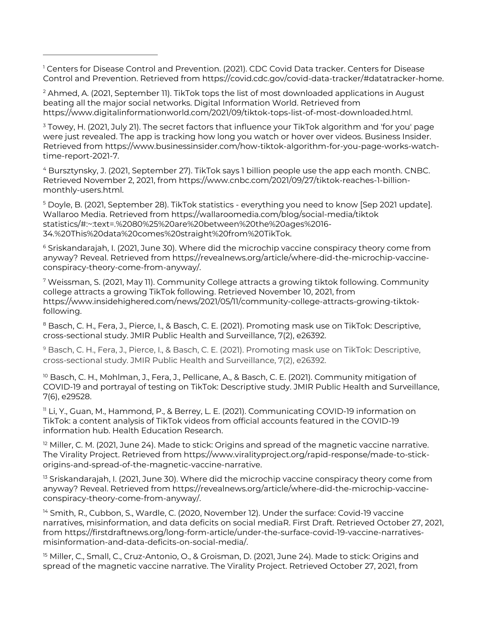<span id="page-7-0"></span><sup>1</sup> Centers for Disease Control and Prevention. (2021). CDC Covid Data tracker. Centers for Disease Control and Prevention. Retrieved from https://covid.cdc.gov/covid-data-tracker/#datatracker-home.

<span id="page-7-1"></span><sup>2</sup> Ahmed, A. (2021, September 11). TikTok tops the list of most downloaded applications in August beating all the major social networks. Digital Information World. Retrieved from https://www.digitalinformationworld.com/2021/09/tiktok-tops-list-of-most-downloaded.html.

<span id="page-7-2"></span><sup>3</sup> Towey, H. (2021, July 21). The secret factors that influence your TikTok algorithm and 'for you' page were just revealed. The app is tracking how long you watch or hover over videos. Business Insider. Retrieved from https://www.businessinsider.com/how-tiktok-algorithm-for-you-page-works-watchtime-report-2021-7.

<span id="page-7-3"></span><sup>4</sup> Bursztynsky, J. (2021, September 27). TikTok says 1 billion people use the app each month. CNBC. Retrieved November 2, 2021, from https://www.cnbc.com/2021/09/27/tiktok-reaches-1-billionmonthly-users.html.

<span id="page-7-4"></span><sup>5</sup> Doyle, B. (2021, September 28). TikTok statistics - everything you need to know [Sep 2021 update]. Wallaroo Media. Retrieved from https://wallaroomedia.com/blog/social-media/tiktok statistics/#:~:text=.%2080%25%20are%20between%20the%20ages%2016- 34.%20This%20data%20comes%20straight%20from%20TikTok.

<span id="page-7-5"></span><sup>6</sup> Sriskandarajah, I. (2021, June 30). Where did the microchip vaccine conspiracy theory come from anyway? Reveal. Retrieved from https://revealnews.org/article/where-did-the-microchip-vaccineconspiracy-theory-come-from-anyway/.

<span id="page-7-6"></span><sup>7</sup> Weissman, S. (2021, May 11). Community College attracts a growing tiktok following. Community college attracts a growing TikTok following. Retrieved November 10, 2021, from https://www.insidehighered.com/news/2021/05/11/community-college-attracts-growing-tiktokfollowing.

<span id="page-7-7"></span><sup>8</sup> Basch, C. H., Fera, J., Pierce, I., & Basch, C. E. (2021). Promoting mask use on TikTok: Descriptive, cross-sectional study. JMIR Public Health and Surveillance, 7(2), e26392.

<span id="page-7-8"></span><sup>9</sup> Basch, C. H., Fera, J., Pierce, I., & Basch, C. E. (2021). Promoting mask use on TikTok: Descriptive, cross-sectional study. JMIR Public Health and Surveillance, 7(2), e26392.

<span id="page-7-9"></span><sup>10</sup> Basch, C. H., Mohlman, J., Fera, J., Pellicane, A., & Basch, C. E. (2021). Community mitigation of COVID-19 and portrayal of testing on TikTok: Descriptive study. JMIR Public Health and Surveillance, 7(6), e29528.

<span id="page-7-10"></span><sup>11</sup> Li, Y., Guan, M., Hammond, P., & Berrey, L. E. (2021). Communicating COVID-19 information on TikTok: a content analysis of TikTok videos from official accounts featured in the COVID-19 information hub. Health Education Research.

<span id="page-7-11"></span> $12$  Miller, C. M. (2021, June 24). Made to stick: Origins and spread of the magnetic vaccine narrative. The Virality Project. Retrieved from https://www.viralityproject.org/rapid-response/made-to-stickorigins-and-spread-of-the-magnetic-vaccine-narrative.

<span id="page-7-12"></span><sup>13</sup> Sriskandarajah, I. (2021, June 30). Where did the microchip vaccine conspiracy theory come from anyway? Reveal. Retrieved from https://revealnews.org/article/where-did-the-microchip-vaccineconspiracy-theory-come-from-anyway/.

<span id="page-7-13"></span><sup>14</sup> Smith, R., Cubbon, S., Wardle, C. (2020, November 12). Under the surface: Covid-19 vaccine narratives, misinformation, and data deficits on social mediaR. First Draft. Retrieved October 27, 2021, from https://firstdraftnews.org/long-form-article/under-the-surface-covid-19-vaccine-narrativesmisinformation-and-data-deficits-on-social-media/.

<span id="page-7-14"></span><sup>15</sup> Miller, C., Small, C., Cruz-Antonio, O., & Groisman, D. (2021, June 24). Made to stick: Origins and spread of the magnetic vaccine narrative. The Virality Project. Retrieved October 27, 2021, from